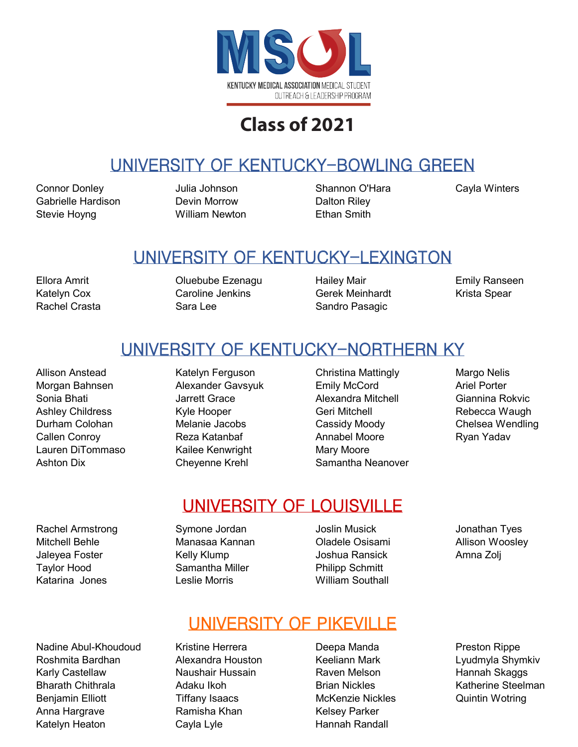

## UNIVERSITY OF KENTUCKY-BOWLING GREEN

Connor Donley Julia Johnson Shannon O'Hara Cayla Winters Gabrielle Hardison **Devin Morrow** Dalton Riley Stevie Hoyng William Newton Ethan Smith

#### UNIVERSITY OF KENTUCKY-LEXINGTON

Ellora Amrit Oluebube Ezenagu Hailey Mair Emily Ranseen Katelyn Cox **Caroline Jenkins** Gerek Meinhardt Krista Spear Rachel Crasta **Sara Lee** Sara Lee Sandro Pasagic

#### UNIVERSITY OF KENTUCKY-NORTHERN KY

- Lauren DiTommaso Kailee Kenwright Mary Moore
- Rachel Armstrong Symone Jordan Joslin Musick Jonathan Tyes Mitchell Behle Manasaa Kannan Oladele Osisami Allison Woosley Jaleyea Foster **The Contract Contract Contract Contract Contract Contract Contract Contract Contract Contract A** Taylor Hood Samantha Miller Philipp Schmitt Katarina Jones Leslie Morris William Southall

Nadine Abul-Khoudoud Kristine Herrera Deepa Manda Preston Rippe Roshmita Bardhan Alexandra Houston Keeliann Mark Lyudmyla Shymkiv Karly Castellaw **Naushair Hussain** Raven Melson Hannah Skaggs Bharath Chithrala Adaku Ikoh Brian Nickles Katherine Steelman Benjamin Elliott **Tiffany Isaacs** McKenzie Nickles Quintin Wotring Anna Hargrave **Ramisha Khan** Khan Kelsey Parker Katelyn Heaton **Cayla Lyle Hannah Randall** 

- Allison Anstead **Katelyn Ferguson** Christina Mattingly Margo Nelis Morgan Bahnsen Alexander Gavsyuk Emily McCord Ariel Porter Sonia Bhati Jarrett Grace Alexandra Mitchell Giannina Rokvic Ashley Childress **Kyle Hooper** Geri Mitchell Geri Rebecca Waugh Durham Colohan Melanie Jacobs Cassidy Moody Chelsea Wendling Callen Conroy **Reza Katanbaf Moore** Annabel Moore Ryan Yadav Ashton Dix Cheyenne Krehl Samantha Neanover
	-

### UNIVERSITY OF LOUISVILLE

### UNIVERSITY OF PIKEVILLE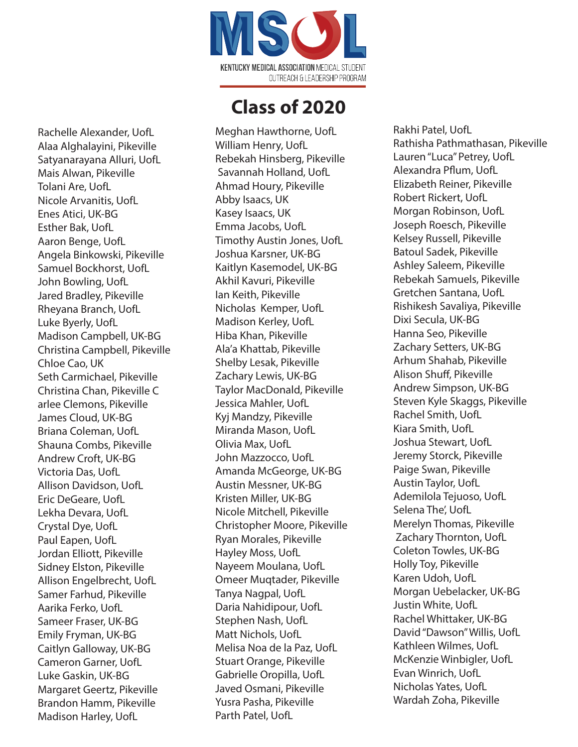

Rachelle Alexander, UofL Alaa Alghalayini, Pikeville Satyanarayana Alluri, UofL Mais Alwan, Pikeville Tolani Are, UofL Nicole Arvanitis, UofL Enes Atici, UK-BG Esther Bak, UofL Aaron Benge, UofL Angela Binkowski, Pikeville Samuel Bockhorst, UofL John Bowling, UofL Jared Bradley, Pikeville Rheyana Branch, UofL Luke Byerly, UofL Madison Campbell, UK-BG Christina Campbell, Pikeville Chloe Cao, UK Seth Carmichael, Pikeville Christina Chan, Pikeville C arlee Clemons, Pikeville James Cloud, UK-BG Briana Coleman, UofL Shauna Combs, Pikeville Andrew Croft, UK-BG Victoria Das, UofL Allison Davidson, UofL Eric DeGeare, UofL Lekha Devara, UofL Crystal Dye, UofL Paul Eapen, UofL Jordan Elliott, Pikeville Sidney Elston, Pikeville Allison Engelbrecht, UofL Samer Farhud, Pikeville Aarika Ferko, UofL Sameer Fraser, UK-BG Emily Fryman, UK-BG Caitlyn Galloway, UK-BG Cameron Garner, UofL Luke Gaskin, UK-BG Margaret Geertz, Pikeville Brandon Hamm, Pikeville Madison Harley, UofL

Meghan Hawthorne, UofL William Henry, UofL Rebekah Hinsberg, Pikeville Savannah Holland, UofL Ahmad Houry, Pikeville Abby Isaacs, UK Kasey Isaacs, UK Emma Jacobs, UofL Timothy Austin Jones, UofL Joshua Karsner, UK-BG Kaitlyn Kasemodel, UK-BG Akhil Kavuri, Pikeville Ian Keith, Pikeville Nicholas Kemper, UofL Madison Kerley, UofL Hiba Khan, Pikeville Ala'a Khattab, Pikeville Shelby Lesak, Pikeville Zachary Lewis, UK-BG Taylor MacDonald, Pikeville Jessica Mahler, UofL Kyj Mandzy, Pikeville Miranda Mason, UofL Olivia Max, UofL John Mazzocco, UofL Amanda McGeorge, UK-BG Austin Messner, UK-BG Kristen Miller, UK-BG Nicole Mitchell, Pikeville Christopher Moore, Pikeville Ryan Morales, Pikeville Hayley Moss, UofL Nayeem Moulana, UofL Omeer Muqtader, Pikeville Tanya Nagpal, UofL Daria Nahidipour, UofL Stephen Nash, UofL Matt Nichols, UofL Melisa Noa de la Paz, UofL Stuart Orange, Pikeville Gabrielle Oropilla, UofL Javed Osmani, Pikeville Yusra Pasha, Pikeville Parth Patel, UofL

Rakhi Patel, UofL Rathisha Pathmathasan, Pikeville Lauren "Luca" Petrey, UofL Alexandra Pflum, UofL Elizabeth Reiner, Pikeville Robert Rickert, UofL Morgan Robinson, UofL Joseph Roesch, Pikeville Kelsey Russell, Pikeville Batoul Sadek, Pikeville Ashley Saleem, Pikeville Rebekah Samuels, Pikeville Gretchen Santana, UofL Rishikesh Savaliya, Pikeville Dixi Secula, UK-BG Hanna Seo, Pikeville Zachary Setters, UK-BG Arhum Shahab, Pikeville Alison Shuff, Pikeville Andrew Simpson, UK-BG Steven Kyle Skaggs, Pikeville Rachel Smith, UofL Kiara Smith, UofL Joshua Stewart, UofL Jeremy Storck, Pikeville Paige Swan, Pikeville Austin Taylor, UofL Ademilola Tejuoso, UofL Selena The', UofL Merelyn Thomas, Pikeville Zachary Thornton, UofL Coleton Towles, UK-BG Holly Toy, Pikeville Karen Udoh, UofL Morgan Uebelacker, UK-BG Justin White, UofL Rachel Whittaker, UK-BG David "Dawson" Willis, UofL Kathleen Wilmes, UofL McKenzie Winbigler, UofL Evan Winrich, UofL Nicholas Yates, UofL Wardah Zoha, Pikeville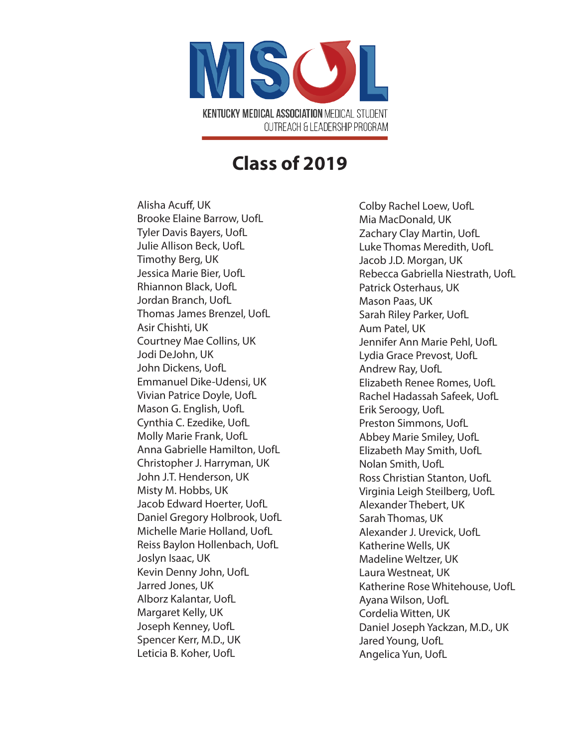

Alisha Acuff, UK Brooke Elaine Barrow, UofL Tyler Davis Bayers, UofL Julie Allison Beck, UofL Timothy Berg, UK Jessica Marie Bier, UofL Rhiannon Black, UofL Jordan Branch, UofL Thomas James Brenzel, UofL Asir Chishti, UK Courtney Mae Collins, UK Jodi DeJohn, UK John Dickens, UofL Emmanuel Dike-Udensi, UK Vivian Patrice Doyle, UofL Mason G. English, UofL Cynthia C. Ezedike, UofL Molly Marie Frank, UofL Anna Gabrielle Hamilton, UofL Christopher J. Harryman, UK John J.T. Henderson, UK Misty M. Hobbs, UK Jacob Edward Hoerter, UofL Daniel Gregory Holbrook, UofL Michelle Marie Holland, UofL Reiss Baylon Hollenbach, UofL Joslyn Isaac, UK Kevin Denny John, UofL Jarred Jones, UK Alborz Kalantar, UofL Margaret Kelly, UK Joseph Kenney, UofL Spencer Kerr, M.D., UK Leticia B. Koher, UofL

Colby Rachel Loew, UofL Mia MacDonald, UK Zachary Clay Martin, UofL Luke Thomas Meredith, UofL Jacob J.D. Morgan, UK Rebecca Gabriella Niestrath, UofL Patrick Osterhaus, UK Mason Paas, UK Sarah Riley Parker, UofL Aum Patel, UK Jennifer Ann Marie Pehl, UofL Lydia Grace Prevost, UofL Andrew Ray, UofL Elizabeth Renee Romes, UofL Rachel Hadassah Safeek, UofL Erik Seroogy, UofL Preston Simmons, UofL Abbey Marie Smiley, UofL Elizabeth May Smith, UofL Nolan Smith, UofL Ross Christian Stanton, UofL Virginia Leigh Steilberg, UofL Alexander Thebert, UK Sarah Thomas, UK Alexander J. Urevick, UofL Katherine Wells, UK Madeline Weltzer, UK Laura Westneat, UK Katherine Rose Whitehouse, UofL Ayana Wilson, UofL Cordelia Witten, UK Daniel Joseph Yackzan, M.D., UK Jared Young, UofL Angelica Yun, UofL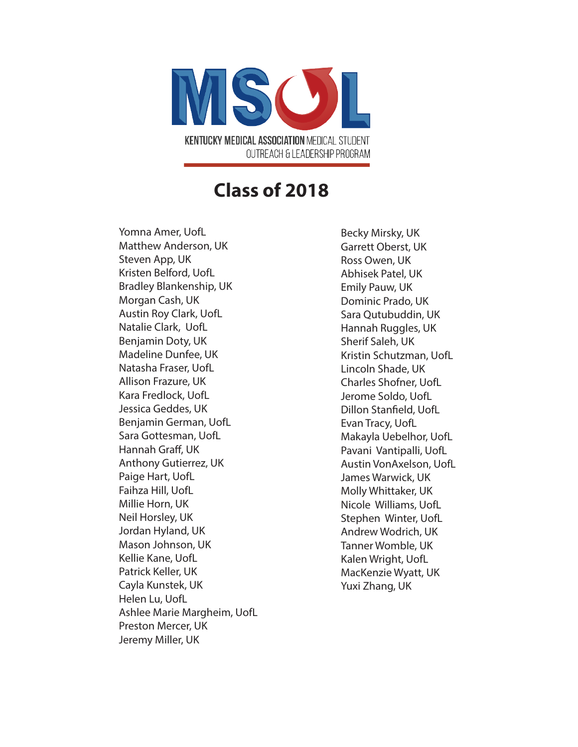

Yomna Amer, UofL Matthew Anderson, UK Steven App, UK Kristen Belford, UofL Bradley Blankenship, UK Morgan Cash, UK Austin Roy Clark, UofL Natalie Clark, UofL Benjamin Doty, UK Madeline Dunfee, UK Natasha Fraser, UofL Allison Frazure, UK Kara Fredlock, UofL Jessica Geddes, UK Benjamin German, UofL Sara Gottesman, UofL Hannah Graff, UK Anthony Gutierrez, UK Paige Hart, UofL Faihza Hill, UofL Millie Horn, UK Neil Horsley, UK Jordan Hyland, UK Mason Johnson, UK Kellie Kane, UofL Patrick Keller, UK Cayla Kunstek, UK Helen Lu, UofL Ashlee Marie Margheim, UofL Preston Mercer, UK Jeremy Miller, UK

Becky Mirsky, UK Garrett Oberst, UK Ross Owen, UK Abhisek Patel, UK Emily Pauw, UK Dominic Prado, UK Sara Qutubuddin, UK Hannah Ruggles, UK Sherif Saleh, UK Kristin Schutzman, UofL Lincoln Shade, UK Charles Shofner, UofL Jerome Soldo, UofL Dillon Stanfield, UofL Evan Tracy, UofL Makayla Uebelhor, UofL Pavani Vantipalli, UofL Austin VonAxelson, UofL James Warwick, UK Molly Whittaker, UK Nicole Williams, UofL Stephen Winter, UofL Andrew Wodrich, UK Tanner Womble, UK Kalen Wright, UofL MacKenzie Wyatt, UK Yuxi Zhang, UK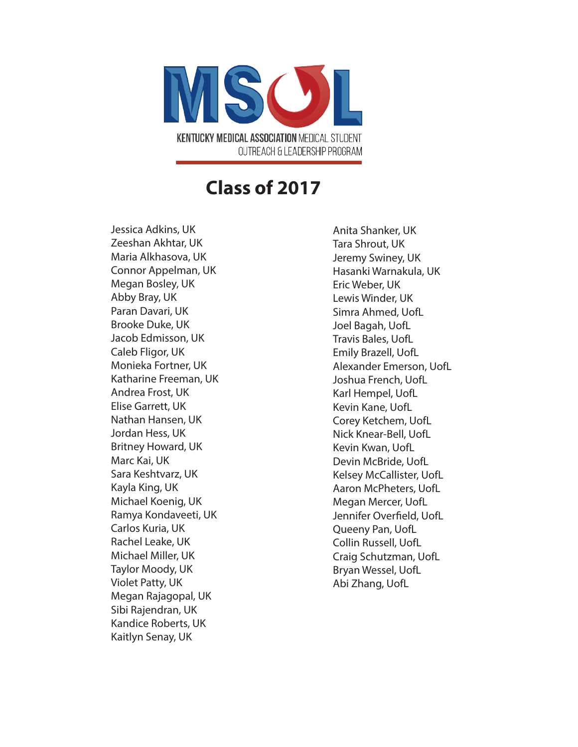

Jessica Adkins, UK Zeeshan Akhtar, UK Maria Alkhasova, UK Connor Appelman, UK Megan Bosley, UK Abby Bray, UK Paran Davari, UK Brooke Duke, UK Jacob Edmisson, UK Caleb Fligor, UK Monieka Fortner, UK Katharine Freeman, UK Andrea Frost, UK Elise Garrett, UK Nathan Hansen, UK Jordan Hess, UK Britney Howard, UK Marc Kai, UK Sara Keshtvarz, UK Kayla King, UK Michael Koenig, UK Ramya Kondaveeti, UK Carlos Kuria, UK Rachel Leake, UK Michael Miller, UK Taylor Moody, UK Violet Patty, UK Megan Rajagopal, UK Sibi Rajendran, UK Kandice Roberts, UK Kaitlyn Senay, UK

Anita Shanker, UK Tara Shrout, UK Jeremy Swiney, UK Hasanki Warnakula, UK Eric Weber, UK Lewis Winder, UK Simra Ahmed, UofL Joel Bagah, UofL Travis Bales, UofL Emily Brazell, UofL Alexander Emerson, UofL Joshua French, UofL Karl Hempel, UofL Kevin Kane, UofL Corey Ketchem, UofL Nick Knear-Bell, UofL Kevin Kwan, UofL Devin McBride, UofL Kelsey McCallister, UofL Aaron McPheters, UofL Megan Mercer, UofL Jennifer Overfield, UofL Queeny Pan, UofL Collin Russell, UofL Craig Schutzman, UofL Bryan Wessel, UofL Abi Zhang, UofL